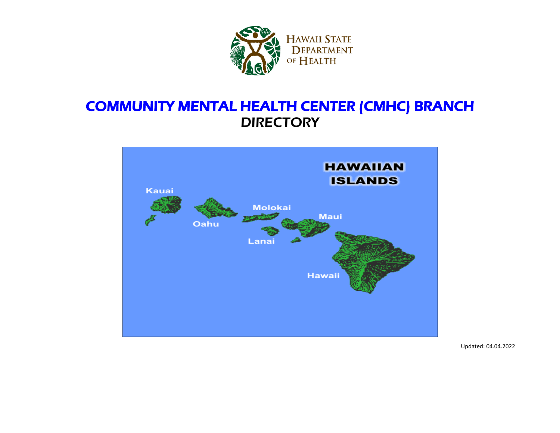

## COMMUNITY MENTAL HEALTH CENTER (CMHC) BRANCH **DIRECTORY**



Updated: 04.04.2022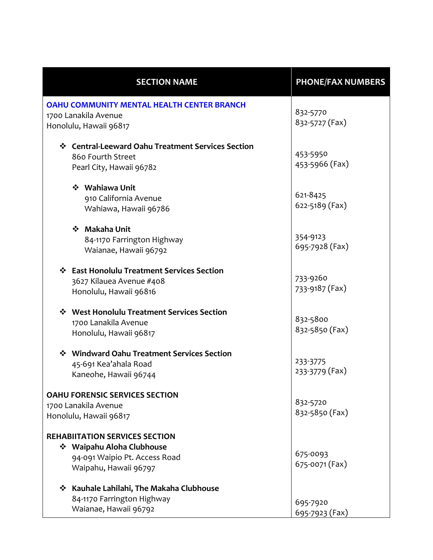| <b>SECTION NAME</b>                                                       | <b>PHONE/FAX NUMBERS</b>   |
|---------------------------------------------------------------------------|----------------------------|
| <b>OAHU COMMUNITY MENTAL HEALTH CENTER BRANCH</b><br>1700 Lanakila Avenue | 832-5770                   |
| Honolulu, Hawaii 96817                                                    | 832-5727 (Fax)             |
| ❖ Central-Leeward Oahu Treatment Services Section                         |                            |
| 860 Fourth Street                                                         | 453-5950<br>453-5966 (Fax) |
| Pearl City, Hawaii 96782                                                  |                            |
| ❖ Wahiawa Unit                                                            | 621-8425                   |
| 910 California Avenue                                                     | 622-5189 (Fax)             |
| Wahiawa, Hawaii 96786                                                     |                            |
| ❖ Makaha Unit                                                             |                            |
| 84-1170 Farrington Highway                                                | 354-9123                   |
| Waianae, Hawaii 96792                                                     | 695-7928 (Fax)             |
| ❖ East Honolulu Treatment Services Section                                |                            |
| 3627 Kilauea Avenue #408                                                  | 733-9260                   |
| Honolulu, Hawaii 96816                                                    | 733-9187 (Fax)             |
| ❖ West Honolulu Treatment Services Section                                |                            |
| 1700 Lanakila Avenue                                                      | 832-5800                   |
| Honolulu, Hawaii 96817                                                    | 832-5850 (Fax)             |
| ❖ Windward Oahu Treatment Services Section                                |                            |
| 45-691 Kea'ahala Road                                                     | 233-3775                   |
| Kaneohe, Hawaii 96744                                                     | 233-3779 (Fax)             |
| <b>OAHU FORENSIC SERVICES SECTION</b>                                     |                            |
| 1700 Lanakila Avenue                                                      | 832-5720                   |
| Honolulu, Hawaii 96817                                                    | 832-5850 (Fax)             |
| <b>REHABIITATION SERVICES SECTION</b>                                     |                            |
| ❖ Waipahu Aloha Clubhouse                                                 |                            |
| 94-091 Waipio Pt. Access Road                                             | 675-0093                   |
| Waipahu, Hawaii 96797                                                     | 675-0071 (Fax)             |
| ❖ Kauhale Lahilahi, The Makaha Clubhouse                                  |                            |
| 84-1170 Farrington Highway                                                | 695-7920                   |
| Waianae, Hawaii 96792                                                     | 695-7923 (Fax)             |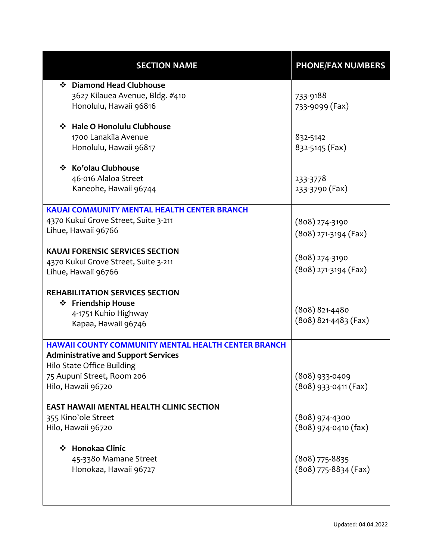| <b>SECTION NAME</b>                                        | <b>PHONE/FAX NUMBERS</b> |
|------------------------------------------------------------|--------------------------|
| ❖ Diamond Head Clubhouse                                   |                          |
| 3627 Kilauea Avenue, Bldg. #410                            | 733-9188                 |
| Honolulu, Hawaii 96816                                     | 733-9099 (Fax)           |
| ❖ Hale O Honolulu Clubhouse                                |                          |
| 1700 Lanakila Avenue                                       | 832-5142                 |
| Honolulu, Hawaii 96817                                     | 832-5145 (Fax)           |
| ❖ Ko'olau Clubhouse                                        |                          |
| 46-016 Alaloa Street                                       | 233-3778                 |
| Kaneohe, Hawaii 96744                                      | 233-3790 (Fax)           |
|                                                            |                          |
| <b>KAUAI COMMUNITY MENTAL HEALTH CENTER BRANCH</b>         |                          |
| 4370 Kukui Grove Street, Suite 3-211                       | $(808)$ 274-3190         |
| Lihue, Hawaii 96766                                        | $(808)$ 271-3194 (Fax)   |
|                                                            |                          |
| <b>KAUAI FORENSIC SERVICES SECTION</b>                     | $(808)$ 274-3190         |
| 4370 Kukui Grove Street, Suite 3-211                       | $(808)$ 271-3194 (Fax)   |
| Lihue, Hawaii 96766                                        |                          |
| <b>REHABILITATION SERVICES SECTION</b>                     |                          |
| ❖ Friendship House                                         |                          |
| 4-1751 Kuhio Highway                                       | $(808)$ 821-4480         |
| Kapaa, Hawaii 96746                                        | $(808) 821 - 4483$ (Fax) |
|                                                            |                          |
| <b>HAWAII COUNTY COMMUNITY MENTAL HEALTH CENTER BRANCH</b> |                          |
| <b>Administrative and Support Services</b>                 |                          |
| Hilo State Office Building                                 |                          |
| 75 Aupuni Street, Room 206                                 | (808) 933-0409           |
| Hilo, Hawaii 96720                                         | $(808)$ 933-0411 (Fax)   |
| <b>EAST HAWAII MENTAL HEALTH CLINIC SECTION</b>            |                          |
| 355 Kino'ole Street                                        | $(808)$ 974-4300         |
| Hilo, Hawaii 96720                                         | $(808)$ 974-0410 (fax)   |
|                                                            |                          |
| Honokaa Clinic<br>❖                                        |                          |
| 45-3380 Mamane Street                                      | $(808)$ 775-8835         |
| Honokaa, Hawaii 96727                                      | $(808)$ 775-8834 (Fax)   |
|                                                            |                          |
|                                                            |                          |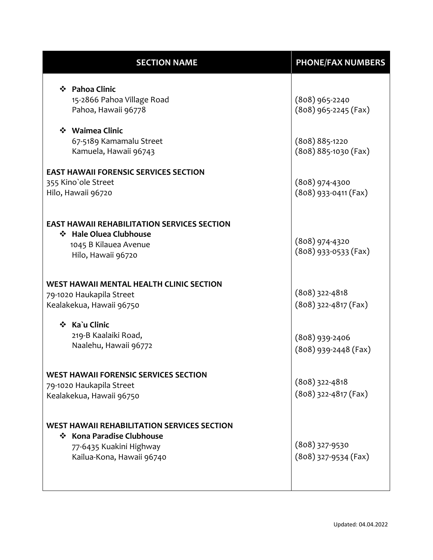| <b>SECTION NAME</b>                                                                                                                     | <b>PHONE/FAX NUMBERS</b>                       |
|-----------------------------------------------------------------------------------------------------------------------------------------|------------------------------------------------|
| ❖ Pahoa Clinic<br>15-2866 Pahoa Village Road<br>Pahoa, Hawaii 96778                                                                     | $(808)$ 965-2240<br>$(808)$ 965-2245 (Fax)     |
| ❖ Waimea Clinic<br>67-5189 Kamamalu Street<br>Kamuela, Hawaii 96743                                                                     | $(808) 885 - 1220$<br>$(808) 885 - 1030$ (Fax) |
| <b>EAST HAWAII FORENSIC SERVICES SECTION</b><br>355 Kino'ole Street<br>Hilo, Hawaii 96720                                               | $(808)$ 974-4300<br>$(808)$ 933-0411 (Fax)     |
| <b>EAST HAWAII REHABILITATION SERVICES SECTION</b><br>❖ Hale Oluea Clubhouse<br>1045 B Kilauea Avenue<br>Hilo, Hawaii 96720             | $(808)$ 974-4320<br>$(808)$ 933-0533 (Fax)     |
| <b>WEST HAWAII MENTAL HEALTH CLINIC SECTION</b><br>79-1020 Haukapila Street<br>Kealakekua, Hawaii 96750                                 | $(808)$ 322-4818<br>$(808)$ 322-4817 (Fax)     |
| ❖ Ka`u Clinic<br>219-B Kaalaiki Road,<br>Naalehu, Hawaii 96772                                                                          | $(808)$ 939-2406<br>$(808)$ 939-2448 (Fax)     |
| <b>WEST HAWAII FORENSIC SERVICES SECTION</b><br>79-1020 Haukapila Street<br>Kealakekua, Hawaii 96750                                    | $(808)$ 322-4818<br>$(808)$ 322-4817 (Fax)     |
| <b>WEST HAWAII REHABILITATION SERVICES SECTION</b><br>❖ Kona Paradise Clubhouse<br>77-6435 Kuakini Highway<br>Kailua-Kona, Hawaii 96740 | $(808)$ 327-9530<br>$(808)$ 327-9534 (Fax)     |